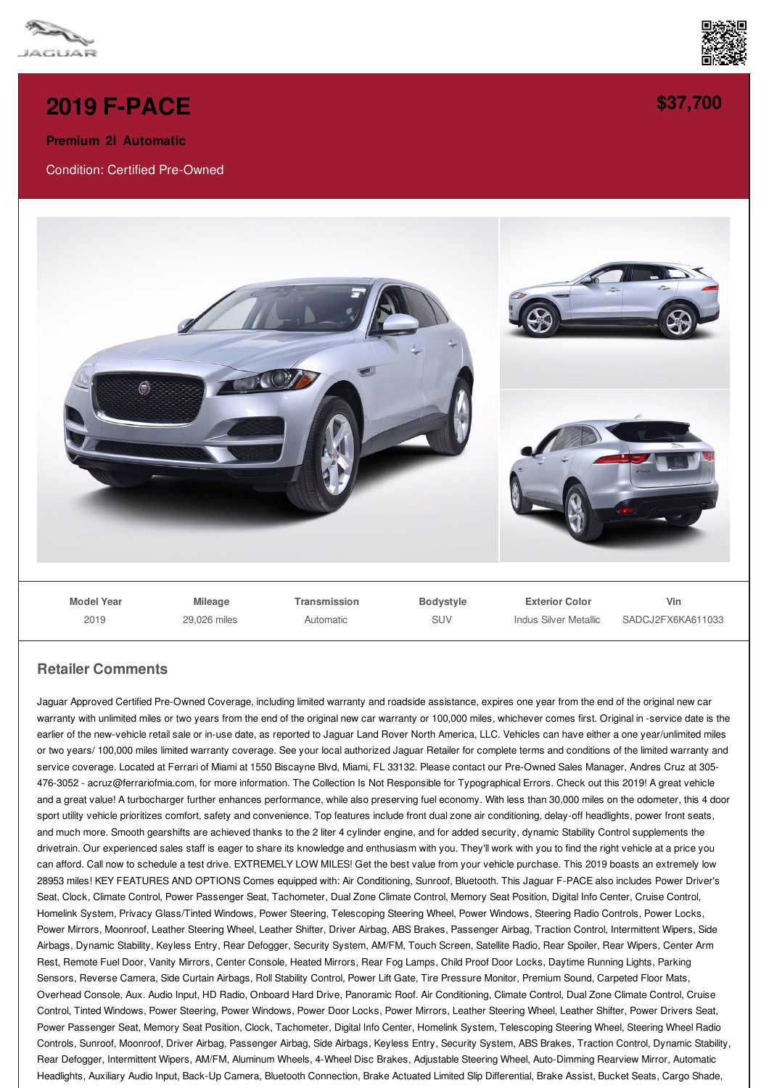



## **2019 [F-PACE](/used-certified/pdf/)**

**Premium 2l Automatic**

Condition: Certified Pre-Owned



## **Retailer Comments**

Jaguar Approved Certified Pre-Owned Coverage, including limited warranty and roadside assistance, expires one year from the end of the original new car warranty with unlimited miles or two years from the end of the original new car warranty or 100,000 miles, whichever comes first. Original in -service date is the earlier of the new-vehicle retail sale or in-use date, as reported to Jaguar Land Rover North America, LLC. Vehicles can have either a one year/unlimited miles or two years/ 100,000 miles limited warranty coverage. See your local authorized Jaguar Retailer for complete terms and conditions of the limited warranty and service coverage. Located at Ferrari of Miami at 1550 Biscayne Blvd, Miami, FL 33132. Please contact our Pre-Owned Sales Manager, Andres Cruz at 305- 476-3052 - acruz@ferrariofmia.com, for more information. The Collection Is Not Responsible for Typographical Errors. Check out this 2019! A great vehicle and a great value! A turbocharger further enhances performance, while also preserving fuel economy. With less than 30,000 miles on the odometer, this 4 door sport utility vehicle prioritizes comfort, safety and convenience. Top features include front dual zone air conditioning, delay-off headlights, power front seats, and much more. Smooth gearshifts are achieved thanks to the 2 liter 4 cylinder engine, and for added security, dynamic Stability Control supplements the drivetrain. Our experienced sales staff is eager to share its knowledge and enthusiasm with you. They'll work with you to find the right vehicle at a price you can afford. Call now to schedule a test drive. EXTREMELY LOW MILES! Get the best value from your vehicle purchase. This 2019 boasts an extremely low 28953 miles! KEY FEATURES AND OPTIONS Comes equipped with: Air Conditioning, Sunroof, Bluetooth. This Jaguar F-PACE also includes Power Driver's Seat, Clock, Climate Control, Power Passenger Seat, Tachometer, Dual Zone Climate Control, Memory Seat Position, Digital Info Center, Cruise Control, Homelink System, Privacy Glass/Tinted Windows, Power Steering, Telescoping Steering Wheel, Power Windows, Steering Radio Controls, Power Locks, Power Mirrors, Moonroof, Leather Steering Wheel, Leather Shifter, Driver Airbag, ABS Brakes, Passenger Airbag, Traction Control, Intermittent Wipers, Side Airbags, Dynamic Stability, Keyless Entry, Rear Defogger, Security System, AM/FM, Touch Screen, Satellite Radio, Rear Spoiler, Rear Wipers, Center Arm Rest, Remote Fuel Door, Vanity Mirrors, Center Console, Heated Mirrors, Rear Fog Lamps, Child Proof Door Locks, Daytime Running Lights, Parking Sensors, Reverse Camera, Side Curtain Airbags, Roll Stability Control, Power Lift Gate, Tire Pressure Monitor, Premium Sound, Carpeted Floor Mats, Overhead Console, Aux. Audio Input, HD Radio, Onboard Hard Drive, Panoramic Roof. Air Conditioning, Climate Control, Dual Zone Climate Control, Cruise Control, Tinted Windows, Power Steering, Power Windows, Power Door Locks, Power Mirrors, Leather Steering Wheel, Leather Shifter, Power Drivers Seat, Power Passenger Seat, Memory Seat Position, Clock, Tachometer, Digital Info Center, Homelink System, Telescoping Steering Wheel, Steering Wheel Radio Controls, Sunroof, Moonroof, Driver Airbag, Passenger Airbag, Side Airbags, Keyless Entry, Security System, ABS Brakes, Traction Control, Dynamic Stability, Rear Defogger, Intermittent Wipers, AM/FM, Aluminum Wheels, 4-Wheel Disc Brakes, Adjustable Steering Wheel, Auto-Dimming Rearview Mirror, Automatic Headlights, Auxiliary Audio Input, Back-Up Camera, Bluetooth Connection, Brake Actuated Limited Slip Differential, Brake Assist, Bucket Seats, Cargo Shade,

**[\\$37,700](/used-certified/pdf/)**